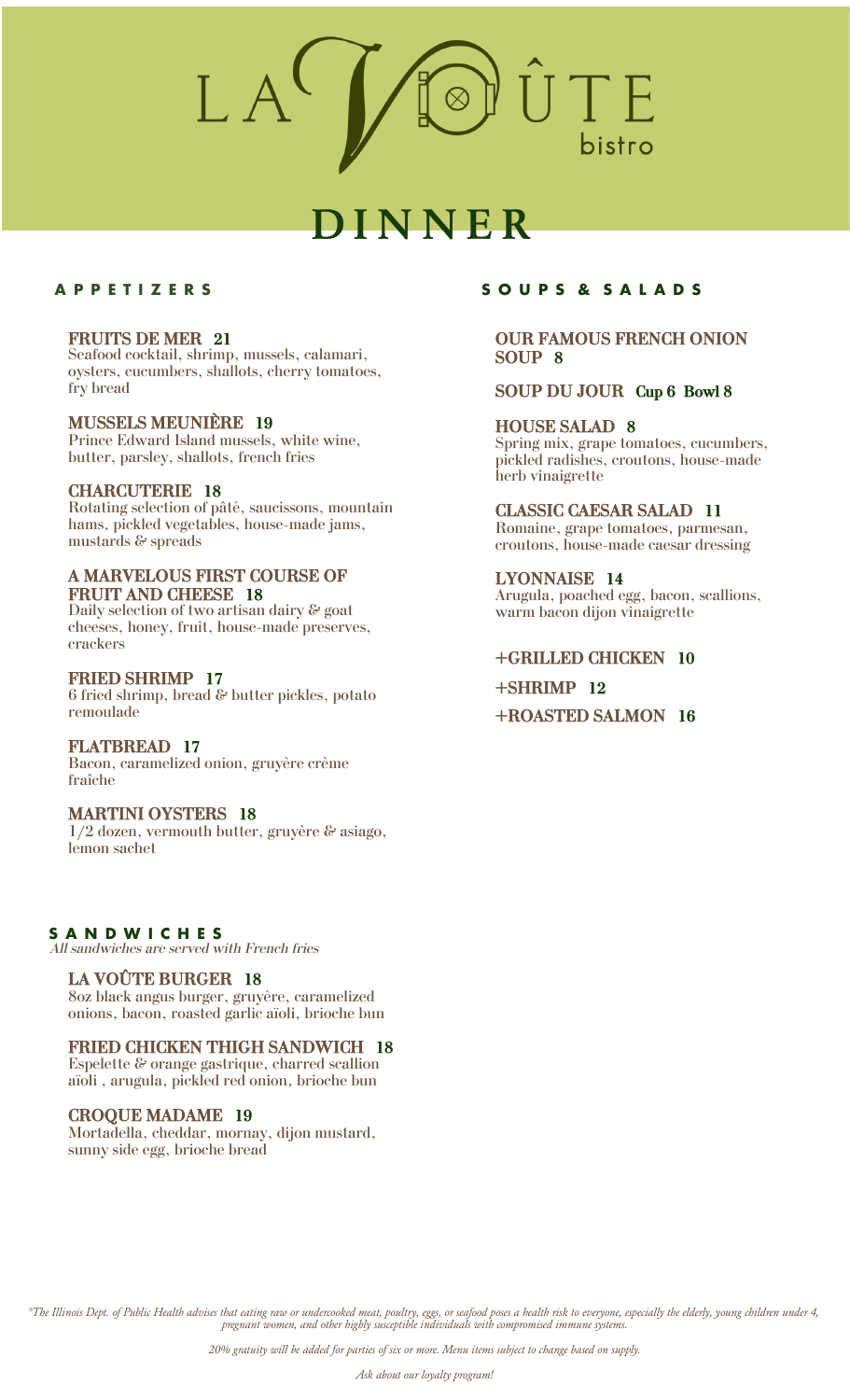# **D I N N E R**

# **A P P E T I Z E R S**

#### **FRUITS DE MER 21**

Seafood cocktail, shrimp, mussels, calamari, oysters, cucumbers, shallots, cherry tomatoes, fry bread

**MUSSELS MEUNIÈRE 19** Prince Edward Island mussels, white wine, butter, parsley, shallots, french fries

#### **CHARCUTERIE 18**

Rotating selection of pâté, saucissons, mountain hams, pickled vegetables, house-made jams, mustards & spreads

# **A MARVELOUS FIRST COURSE OF FRUIT AND CHEESE 18**

Daily selection of two artisan dairy & goat cheeses, honey, fruit, house-made preserves, crackers

#### **FRIED SHRIMP 17**

6 fried shrimp, bread & butter pickles, potato remoulade

#### **FLATBREAD 17**

Bacon, caramelized onion, gruyère crème fraîche

# **MARTINI OYSTERS 18**

1/2 dozen, vermouth butter, gruyère & asiago, lemon sachet

# **S A N D W I C H E S**

*All sandwiches are served with French fries*

# **LA VOÛTE BURGER 18**

8oz black angus burger, gruyère, caramelized onions, bacon, roasted garlic aïoli, brioche bun

# **FRIED CHICKEN THIGH SANDWICH 18**

Espelette $\mathcal C$ orange gastrique, charred scallion aïoli , arugula, pickled red onion, brioche bun

#### **CROQUE MADAME 19**

Mortadella, cheddar, mornay, dijon mustard, sunny side egg, brioche bread

# **S O U P S & S A L A D S**

# **OUR FAMOUS FRENCH ONION SOUP 8**

# **SOUP DU JOUR Cup 6 Bowl 8**

### **HOUSE SALAD 8**

Spring mix, grape tomatoes, cucumbers, pickled radishes, croutons, house-made herb vinaigrette

# **CLASSIC CAESAR SALAD 11** Romaine, grape tomatoes, parmesan,

croutons, house-made caesar dressing

**LYONNAISE 14** Arugula, poached egg, bacon, scallions, warm bacon dijon vinaigrette

# **+GRILLED CHICKEN 10**

# **+SHRIMP 12**

**+ROASTED SALMON 16**

*\*The Illinois Dept. of Public Health advises that eating raw or undercooked meat, poultry, eggs, or seafood poses a health risk to everyone, especially the elderly, young children under 4, pregnant women, and other highly susceptible individuals with compromised immune systems.*